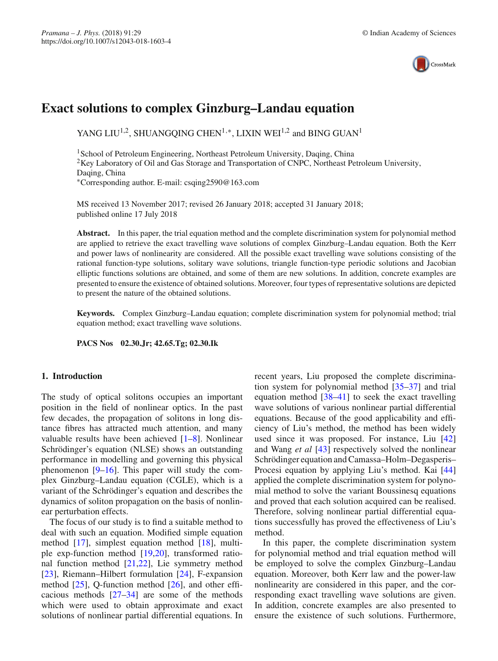

# **Exact solutions to complex Ginzburg–Landau equation**

YANG LIU<sup>1,2</sup>, SHUANGOING CHEN<sup>1,∗</sup>, LIXIN WEI<sup>1,2</sup> and BING GUAN<sup>1</sup>

<sup>1</sup> School of Petroleum Engineering, Northeast Petroleum University, Daqing, China <sup>2</sup>Key Laboratory of Oil and Gas Storage and Transportation of CNPC, Northeast Petroleum University, Daqing, China ∗Corresponding author. E-mail: csqing2590@163.com

MS received 13 November 2017; revised 26 January 2018; accepted 31 January 2018; published online 17 July 2018

**Abstract.** In this paper, the trial equation method and the complete discrimination system for polynomial method are applied to retrieve the exact travelling wave solutions of complex Ginzburg–Landau equation. Both the Kerr and power laws of nonlinearity are considered. All the possible exact travelling wave solutions consisting of the rational function-type solutions, solitary wave solutions, triangle function-type periodic solutions and Jacobian elliptic functions solutions are obtained, and some of them are new solutions. In addition, concrete examples are presented to ensure the existence of obtained solutions. Moreover, four types of representative solutions are depicted to present the nature of the obtained solutions.

**Keywords.** Complex Ginzburg–Landau equation; complete discrimination system for polynomial method; trial equation method; exact travelling wave solutions.

**PACS Nos 02.30.Jr; 42.65.Tg; 02.30.Ik**

## **1. Introduction**

The study of optical solitons occupies an important position in the field of nonlinear optics. In the past few decades, the propagation of solitons in long distance fibres has attracted much attention, and many valuable results have been achieved [\[1](#page-8-0)[–8\]](#page-8-1). Nonlinear Schrödinger's equation (NLSE) shows an outstanding performance in modelling and governing this physical phenomenon [\[9](#page-8-2)[–16](#page-8-3)]. This paper will study the complex Ginzburg–Landau equation (CGLE), which is a variant of the Schrödinger's equation and describes the dynamics of soliton propagation on the basis of nonlinear perturbation effects.

The focus of our study is to find a suitable method to deal with such an equation. Modified simple equation method [\[17](#page-8-4)], simplest equation method [\[18\]](#page-9-0), multiple exp-function method [\[19](#page-9-1)[,20](#page-9-2)], transformed rational function method [\[21](#page-9-3)[,22\]](#page-9-4), Lie symmetry method [\[23](#page-9-5)], Riemann–Hilbert formulation [\[24\]](#page-9-6), F-expansion method [\[25](#page-9-7)], Q-function method [\[26](#page-9-8)], and other efficacious methods [\[27](#page-9-9)[–34\]](#page-9-10) are some of the methods which were used to obtain approximate and exact solutions of nonlinear partial differential equations. In recent years, Liu proposed the complete discrimination system for polynomial method [\[35](#page-9-11)[–37\]](#page-9-12) and trial equation method  $[38-41]$  $[38-41]$  to seek the exact travelling wave solutions of various nonlinear partial differential equations. Because of the good applicability and efficiency of Liu's method, the method has been widely used since it was proposed. For instance, Liu [\[42\]](#page-9-15) and Wang *et al* [\[43\]](#page-9-16) respectively solved the nonlinear Schrödinger equation and Camassa–Holm–Degasperis– Procesi equation by applying Liu's method. Kai [\[44\]](#page-9-17) applied the complete discrimination system for polynomial method to solve the variant Boussinesq equations and proved that each solution acquired can be realised. Therefore, solving nonlinear partial differential equations successfully has proved the effectiveness of Liu's method.

In this paper, the complete discrimination system for polynomial method and trial equation method will be employed to solve the complex Ginzburg–Landau equation. Moreover, both Kerr law and the power-law nonlinearity are considered in this paper, and the corresponding exact travelling wave solutions are given. In addition, concrete examples are also presented to ensure the existence of such solutions. Furthermore,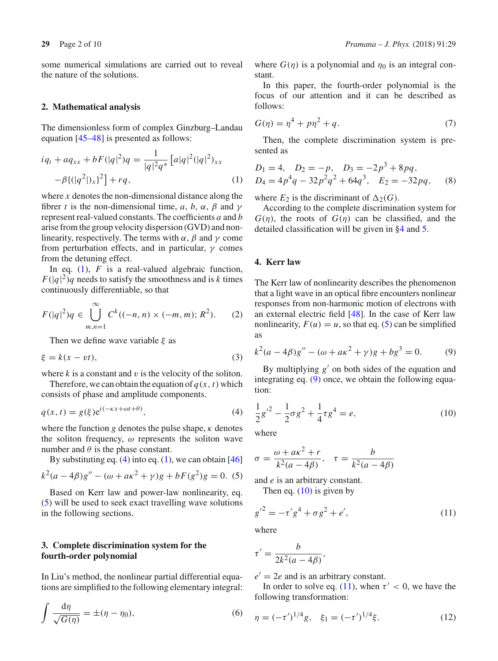some numerical simulations are carried out to reveal the nature of the solutions.

#### **2. Mathematical analysis**

The dimensionless form of complex Ginzburg–Landau equation [\[45](#page-9-18)[–48](#page-9-19)] is presented as follows:

<span id="page-1-0"></span>
$$
iq_{t} + aq_{xx} + bF(|q|^{2})q = \frac{1}{|q|^{2}q^{*}} \left[a|q|^{2}(|q|^{2})_{xx}\right] - \beta \left\{(|q^{2}|)_{x}\right\}^{2}\right] + rq,
$$
\n(1)

where *x* denotes the non-dimensional distance along the fibrer *t* is the non-dimensional time, *a*, *b*,  $\alpha$ ,  $\beta$  and  $\gamma$ represent real-valued constants. The coefficients *a* and *b* arise from the group velocity dispersion (GVD) and nonlinearity, respectively. The terms with  $\alpha$ ,  $\beta$  and  $\gamma$  come from perturbation effects, and in particular,  $\gamma$  comes from the detuning effect.

In eq.  $(1)$ ,  $F$  is a real-valued algebraic function,  $F(|q|^2)q$  needs to satisfy the smoothness and is *k* times continuously differentiable, so that

$$
F(|q|^2)q \in \bigcup_{m,n=1}^{\infty} C^k((-n,n) \times (-m,m); R^2). \tag{2}
$$

Then we define wave variable  $\xi$  as

$$
\xi = k(x - vt),\tag{3}
$$

where  $k$  is a constant and  $v$  is the velocity of the soliton.

Therefore, we can obtain the equation of  $q(x, t)$  which consists of phase and amplitude components.

$$
q(x,t) = g(\xi)e^{i(-\kappa x + \omega t + \theta)},
$$
\n(4)

where the function  $g$  denotes the pulse shape,  $\kappa$  denotes the soliton frequency,  $\omega$  represents the soliton wave number and  $\theta$  is the phase constant.

By substituting eq.  $(4)$  into eq.  $(1)$ , we can obtain [\[46\]](#page-9-20)  $k^{2}(a-4\beta)g'' - (\omega + a\kappa^{2} + \gamma)g + bF(g^{2})g = 0$ . (5)

Based on Kerr law and power-law nonlinearity, eq. [\(5\)](#page-1-2) will be used to seek exact travelling wave solutions in the following sections.

# <span id="page-1-7"></span>**3. Complete discrimination system for the fourth-order polynomial**

In Liu's method, the nonlinear partial differential equations are simplified to the following elementary integral:

$$
\int \frac{\mathrm{d}\eta}{\sqrt{G(\eta)}} = \pm (\eta - \eta_0),\tag{6}
$$

where  $G(\eta)$  is a polynomial and  $\eta_0$  is an integral constant.

In this paper, the fourth-order polynomial is the focus of our attention and it can be described as follows:

$$
G(\eta) = \eta^4 + p\eta^2 + q. \tag{7}
$$

Then, the complete discrimination system is presented as

$$
D_1 = 4, \quad D_2 = -p, \quad D_3 = -2p^3 + 8pq,
$$
  
\n
$$
D_4 = 4p^4q - 32p^2q^2 + 64q^3, \quad E_2 = -32pq, \quad (8)
$$

where  $E_2$  is the discriminant of  $\Delta_2(G)$ .

According to the complete discrimination system for  $G(\eta)$ , the roots of  $G(\eta)$  can be classified, and the detailed classification will be given in [§4](#page-1-3) and [5.](#page-5-0)

# <span id="page-1-3"></span>**4. Kerr law**

The Kerr law of nonlinearity describes the phenomenon that a light wave in an optical fibre encounters nonlinear responses from non-harmonic motion of electrons with an external electric field [\[48](#page-9-19)]. In the case of Kerr law nonlinearity,  $F(u) = u$ , so that eq. [\(5\)](#page-1-2) can be simplified as

<span id="page-1-4"></span>
$$
k^{2}(a - 4\beta)g'' - (\omega + a\kappa^{2} + \gamma)g + bg^{3} = 0.
$$
 (9)

By multiplying  $g'$  on both sides of the equation and integrating eq. [\(9\)](#page-1-4) once, we obtain the following equation:

<span id="page-1-5"></span><span id="page-1-1"></span>
$$
\frac{1}{2}g'^2 - \frac{1}{2}\sigma g^2 + \frac{1}{4}\tau g^4 = e,\tag{10}
$$

where

<span id="page-1-2"></span>
$$
\sigma = \frac{\omega + a\kappa^2 + r}{k^2(a - 4\beta)}, \quad \tau = \frac{b}{k^2(a - 4\beta)}
$$

and *e* is an arbitrary constant.

<span id="page-1-6"></span>Then eq.  $(10)$  is given by

$$
{g'}^2 = -\tau' g^4 + \sigma g^2 + e',\tag{11}
$$

where

$$
\tau' = \frac{b}{2k^2(a - 4\beta)},
$$

 $e' = 2e$  and is an arbitrary constant.

In order to solve eq. [\(11\)](#page-1-6), when  $\tau' < 0$ , we have the following transformation:

$$
\eta = (-\tau')^{1/4} g, \quad \xi_1 = (-\tau')^{1/4} \xi. \tag{12}
$$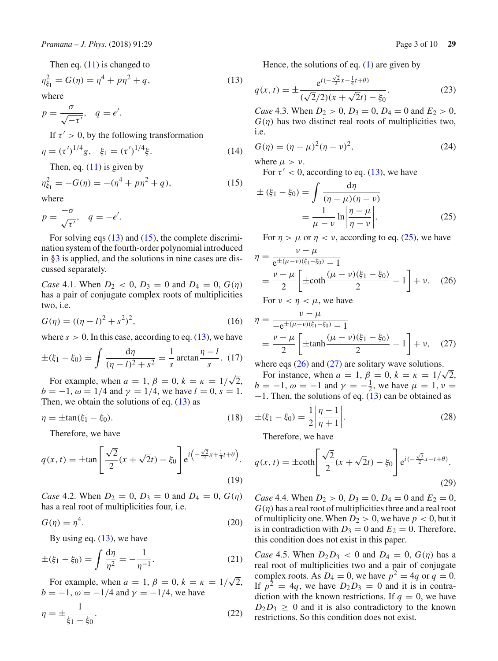where

 $p = \frac{\sigma}{\sqrt{2}}$  $\frac{d}{\sqrt{-\tau'}}, \quad q=e'.$ 

If  $\tau' > 0$ , by the following transformation

$$
\eta = (\tau')^{1/4} g, \quad \xi_1 = (\tau')^{1/4} \xi. \tag{14}
$$

<span id="page-2-1"></span>Then, eq.  $(11)$  is given by

$$
\eta_{\xi_1}^2 = -G(\eta) = -(\eta^4 + p\eta^2 + q),\tag{15}
$$

where

$$
p = \frac{-\sigma}{\sqrt{\tau'}}, \quad q = -e'.
$$

For solving eqs  $(13)$  and  $(15)$ , the complete discrimination system of the fourth-order polynomial introduced in [§3](#page-1-7) is applied, and the solutions in nine cases are discussed separately.

*Case* 4.1. When  $D_2 < 0$ ,  $D_3 = 0$  and  $D_4 = 0$ ,  $G(\eta)$ has a pair of conjugate complex roots of multiplicities two, i.e.

$$
G(\eta) = ((\eta - l)^2 + s^2)^2,
$$
\n(16)

where  $s > 0$ . In this case, according to eq.  $(13)$ , we have

$$
\pm(\xi_1 - \xi_0) = \int \frac{d\eta}{(\eta - l)^2 + s^2} = \frac{1}{s} \arctan \frac{\eta - l}{s}.
$$
 (17)

For example, when  $a = 1$ ,  $\beta = 0$ ,  $k = \kappa = 1/\sqrt{2}$ , *b* =  $-1$ ,  $\omega = 1/4$  and  $\gamma = 1/4$ , we have  $l = 0$ ,  $s = 1$ . Then, we obtain the solutions of eq.  $(13)$  as

$$
\eta = \pm \tan(\xi_1 - \xi_0). \tag{18}
$$

<span id="page-2-5"></span>Therefore, we have

$$
q(x,t) = \pm \tan\left[\frac{\sqrt{2}}{2}(x+\sqrt{2}t) - \xi_0\right] e^{i\left(-\frac{\sqrt{2}}{2}x + \frac{1}{4}t + \theta\right)}.
$$
\n(19)

*Case* 4.2. When  $D_2 = 0$ ,  $D_3 = 0$  and  $D_4 = 0$ ,  $G(\eta)$ has a real root of multiplicities four, i.e.

$$
G(\eta) = \eta^4. \tag{20}
$$

By using eq.  $(13)$ , we have

$$
\pm(\xi_1 - \xi_0) = \int \frac{d\eta}{\eta^2} = -\frac{1}{\eta^{-1}}.
$$
 (21)

For example, when  $a = 1$ ,  $\beta = 0$ ,  $k = \kappa = 1/\sqrt{2}$ ,  $b = -1, \omega = -1/4$  and  $\gamma = -1/4$ , we have

$$
\eta = \pm \frac{1}{\xi_1 - \xi_0}.\tag{22}
$$

<span id="page-2-6"></span>Hence, the solutions of eq. [\(1\)](#page-1-0) are given by

<span id="page-2-0"></span>
$$
q(x,t) = \pm \frac{e^{i(-\frac{\sqrt{2}}{2}x - \frac{1}{4}t + \theta)}}{(\sqrt{2}/2)(x + \sqrt{2}t) - \xi_0}.
$$
 (23)

*Case* 4.3. When  $D_2 > 0$ ,  $D_3 = 0$ ,  $D_4 = 0$  and  $E_2 > 0$ ,  $G(\eta)$  has two distinct real roots of multiplicities two, i.e.

$$
G(\eta) = (\eta - \mu)^2 (\eta - \nu)^2,
$$
 (24)

where  $\mu > \nu$ .

For  $\tau' < 0$ , according to eq. [\(13\)](#page-2-0), we have

<span id="page-2-2"></span>
$$
\pm (\xi_1 - \xi_0) = \int \frac{d\eta}{(\eta - \mu)(\eta - \nu)}
$$

$$
= \frac{1}{\mu - \nu} \ln \left| \frac{\eta - \mu}{\eta - \nu} \right|.
$$
(25)

For  $\eta > \mu$  or  $\eta < \nu$ , according to eq. [\(25\)](#page-2-2), we have

<span id="page-2-3"></span>
$$
\eta = \frac{\nu - \mu}{e^{\pm(\mu - \nu)(\xi_1 - \xi_0)} - 1}
$$
  
=  $\frac{\nu - \mu}{2} \left[ \pm \coth \frac{(\mu - \nu)(\xi_1 - \xi_0)}{2} - 1 \right] + \nu.$  (26)

For  $\nu < \eta < \mu$ , we have

<span id="page-2-4"></span>
$$
\eta = \frac{\nu - \mu}{-e^{\pm(\mu - \nu)(\xi_1 - \xi_0)} - 1}
$$
  
=  $\frac{\nu - \mu}{2} \left[ \pm \tanh \frac{(\mu - \nu)(\xi_1 - \xi_0)}{2} - 1 \right] + \nu,$  (27)

where eqs  $(26)$  and  $(27)$  are solitary wave solutions.

For instance, when  $a = 1$ ,  $\beta_1 = 0$ ,  $k = \kappa = 1/\sqrt{2}$ ,  $b = -1, \omega = -1$  and  $\gamma = -\frac{1}{2}$ , we have  $\mu = 1, \nu =$  $-1$ . Then, the solutions of eq. [\(13\)](#page-2-0) can be obtained as

$$
\pm(\xi_1 - \xi_0) = \frac{1}{2} \left| \frac{\eta - 1}{\eta + 1} \right|.
$$
 (28)

<span id="page-2-7"></span>Therefore, we have

$$
q(x,t) = \pm \coth\left[\frac{\sqrt{2}}{2}(x+\sqrt{2}t) - \xi_0\right] e^{i(-\frac{\sqrt{2}}{2}x-t+\theta)}.
$$
\n(29)

*Case* 4.4. When  $D_2 > 0$ ,  $D_3 = 0$ ,  $D_4 = 0$  and  $E_2 = 0$ ,  $G(\eta)$  has a real root of multiplicities three and a real root of multiplicity one. When  $D_2 > 0$ , we have  $p < 0$ , but it is in contradiction with  $D_3 = 0$  and  $E_2 = 0$ . Therefore, this condition does not exist in this paper.

*Case* 4.5. When  $D_2D_3 < 0$  and  $D_4 = 0$ ,  $G(\eta)$  has a real root of multiplicities two and a pair of conjugate complex roots. As  $D_4 = 0$ , we have  $p^2 = 4q$  or  $q = 0$ . If  $p^2 = 4q$ , we have  $D_2D_3 = 0$  and it is in contradiction with the known restrictions. If  $q = 0$ , we have  $D_2D_3 \geq 0$  and it is also contradictory to the known restrictions. So this condition does not exist.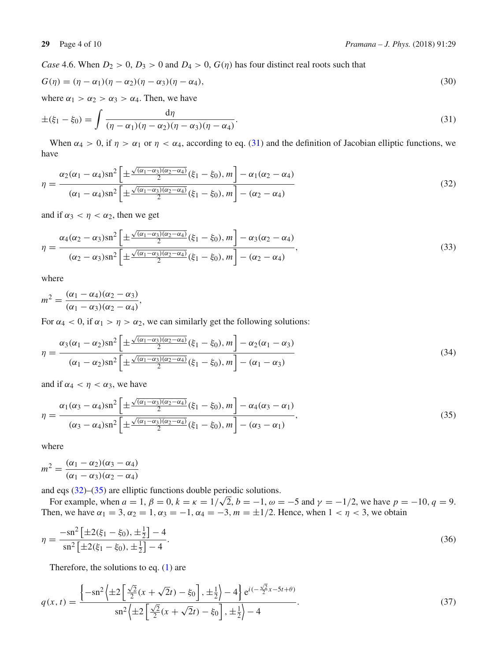*Case* 4.6. When  $D_2 > 0$ ,  $D_3 > 0$  and  $D_4 > 0$ ,  $G(\eta)$  has four distinct real roots such that

<span id="page-3-0"></span>
$$
G(\eta) = (\eta - \alpha_1)(\eta - \alpha_2)(\eta - \alpha_3)(\eta - \alpha_4),
$$
\n(30)

where  $\alpha_1 > \alpha_2 > \alpha_3 > \alpha_4$ . Then, we have

$$
\pm(\xi_1-\xi_0)=\int\frac{\mathrm{d}\eta}{(\eta-\alpha_1)(\eta-\alpha_2)(\eta-\alpha_3)(\eta-\alpha_4)}.\tag{31}
$$

<span id="page-3-1"></span>When  $\alpha_4 > 0$ , if  $\eta > \alpha_1$  or  $\eta < \alpha_4$ , according to eq. [\(31\)](#page-3-0) and the definition of Jacobian elliptic functions, we have

$$
\eta = \frac{\alpha_2(\alpha_1 - \alpha_4)\operatorname{sn}^2\left[\pm\frac{\sqrt{(\alpha_1 - \alpha_3)(\alpha_2 - \alpha_4)}}{2}(\xi_1 - \xi_0), m\right] - \alpha_1(\alpha_2 - \alpha_4)}{(\alpha_1 - \alpha_4)\operatorname{sn}^2\left[\pm\frac{\sqrt{(\alpha_1 - \alpha_3)(\alpha_2 - \alpha_4)}}{2}(\xi_1 - \xi_0), m\right] - (\alpha_2 - \alpha_4)}
$$
\n(32)

and if  $\alpha_3 < \eta < \alpha_2$ , then we get

$$
\eta = \frac{\alpha_4(\alpha_2 - \alpha_3)\sin^2\left[\pm\frac{\sqrt{(\alpha_1 - \alpha_3)(\alpha_2 - \alpha_4)}}{2}(\xi_1 - \xi_0), m\right] - \alpha_3(\alpha_2 - \alpha_4)}{(\alpha_2 - \alpha_3)\sin^2\left[\pm\frac{\sqrt{(\alpha_1 - \alpha_3)(\alpha_2 - \alpha_4)}}{2}(\xi_1 - \xi_0), m\right] - (\alpha_2 - \alpha_4)},\tag{33}
$$

where

$$
m^2 = \frac{(\alpha_1 - \alpha_4)(\alpha_2 - \alpha_3)}{(\alpha_1 - \alpha_3)(\alpha_2 - \alpha_4)},
$$

For  $\alpha_4 < 0$ , if  $\alpha_1 > \eta > \alpha_2$ , we can similarly get the following solutions:

$$
\eta = \frac{\alpha_3(\alpha_1 - \alpha_2)\operatorname{sn}^2\left[\pm\frac{\sqrt{(\alpha_1 - \alpha_3)(\alpha_2 - \alpha_4)}}{2}(\xi_1 - \xi_0), m\right] - \alpha_2(\alpha_1 - \alpha_3)}{(\alpha_1 - \alpha_2)\operatorname{sn}^2\left[\pm\frac{\sqrt{(\alpha_1 - \alpha_3)(\alpha_2 - \alpha_4)}}{2}(\xi_1 - \xi_0), m\right] - (\alpha_1 - \alpha_3)}
$$
\n(34)

<span id="page-3-2"></span>and if  $\alpha_4 < \eta < \alpha_3$ , we have

$$
\eta = \frac{\alpha_1(\alpha_3 - \alpha_4)\operatorname{sn}^2\left[\pm\frac{\sqrt{(\alpha_1 - \alpha_3)(\alpha_2 - \alpha_4)}}{2}(\xi_1 - \xi_0), m\right] - \alpha_4(\alpha_3 - \alpha_1)}{(\alpha_3 - \alpha_4)\operatorname{sn}^2\left[\pm\frac{\sqrt{(\alpha_1 - \alpha_3)(\alpha_2 - \alpha_4)}}{2}(\xi_1 - \xi_0), m\right] - (\alpha_3 - \alpha_1)},\tag{35}
$$

where

$$
m^2 = \frac{(\alpha_1 - \alpha_2)(\alpha_3 - \alpha_4)}{(\alpha_1 - \alpha_3)(\alpha_2 - \alpha_4)}
$$

and eqs [\(32\)](#page-3-1)–[\(35\)](#page-3-2) are elliptic functions double periodic solutions.

For example, when  $a = 1, \beta = 0, k = \kappa = 1/\sqrt{2}, b = -1, \omega = -5$  and  $\gamma = -1/2$ , we have  $p = -10, q = 9$ . Then, we have  $\alpha_1 = 3, \alpha_2 = 1, \alpha_3 = -1, \alpha_4 = -3, m = \pm 1/2$ . Hence, when  $1 < \eta < 3$ , we obtain

$$
\eta = \frac{-\mathrm{sn}^2 \left[ \pm 2(\xi_1 - \xi_0), \pm \frac{1}{2} \right] - 4}{\mathrm{sn}^2 \left[ \pm 2(\xi_1 - \xi_0), \pm \frac{1}{2} \right] - 4}.\tag{36}
$$

Therefore, the solutions to eq.  $(1)$  are

$$
q(x,t) = \frac{\left\{-\text{sn}^2\left(\pm 2\left[\frac{\sqrt{2}}{2}(x+\sqrt{2}t) - \xi_0\right], \pm \frac{1}{2}\right) - 4\right\} e^{i(-\frac{\sqrt{2}}{2}x - 5t + \theta)}}{\text{sn}^2\left(\pm 2\left[\frac{\sqrt{2}}{2}(x+\sqrt{2}t) - \xi_0\right], \pm \frac{1}{2}\right) - 4}.
$$
\n(37)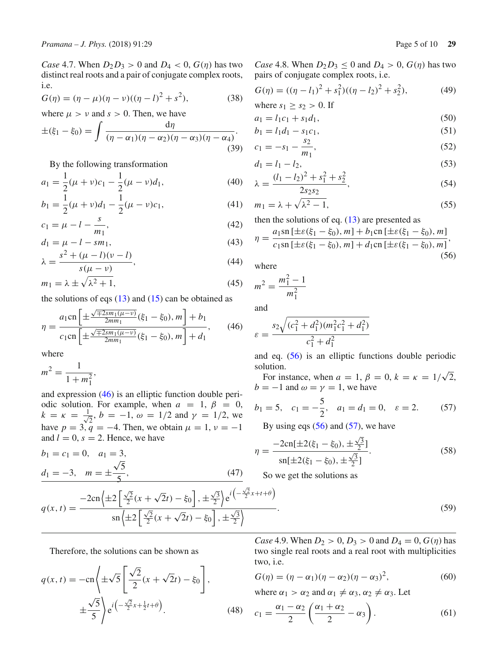*Case* 4.7. When  $D_2D_3 > 0$  and  $D_4 < 0$ ,  $G(\eta)$  has two distinct real roots and a pair of conjugate complex roots, i.e.

$$
G(\eta) = (\eta - \mu)(\eta - \nu)((\eta - l)^2 + s^2),
$$
\n(38)

where  $\mu > \nu$  and  $s > 0$ . Then, we have

$$
\pm(\xi_1-\xi_0)=\int\frac{\mathrm{d}\eta}{(\eta-\alpha_1)(\eta-\alpha_2)(\eta-\alpha_3)(\eta-\alpha_4)}.\tag{39}
$$

By the following transformation

$$
a_1 = \frac{1}{2}(\mu + \nu)c_1 - \frac{1}{2}(\mu - \nu)d_1,
$$
\n(40)

$$
b_1 = \frac{1}{2}(\mu + \nu)d_1 - \frac{1}{2}(\mu - \nu)c_1,
$$
\n(41)

$$
c_1 = \mu - l - \frac{s}{m_1},\tag{42}
$$

$$
d_1 = \mu - l - s m_1,
$$
  
\n
$$
s^2 + (\mu - l)(v - l)
$$
\n(43)

$$
\lambda = \frac{s^2 + (\mu - l)(\nu - l)}{s(\mu - \nu)},
$$
\n(44)

$$
m_1 = \lambda \pm \sqrt{\lambda^2 + 1},\tag{45}
$$

the solutions of eqs  $(13)$  and  $(15)$  can be obtained as

$$
\eta = \frac{a_1 \text{cn}\left[\pm \frac{\sqrt{\mp 2s m_1(\mu - \nu)}}{2m m_1}(\xi_1 - \xi_0), m\right] + b_1}{c_1 \text{cn}\left[\pm \frac{\sqrt{\mp 2s m_1(\mu - \nu)}}{2m m_1}(\xi_1 - \xi_0), m\right] + d_1},\tag{46}
$$

where

$$
m^2 = \frac{1}{1 + m_1^2},
$$

and expression [\(46\)](#page-4-0) is an elliptic function double periodic solution. For example, when  $a = 1$ ,  $\beta = 0$ ,  $k = \kappa = \frac{1}{\sqrt{2}}$  $\frac{1}{2}$ ,  $b = -1$ ,  $\omega = 1/2$  and  $\gamma = 1/2$ , we have  $p = 3, \, q = -4$ . Then, we obtain  $\mu = 1, \, \nu = -1$ and  $l = 0$ ,  $s = 2$ . Hence, we have

$$
b_1 = c_1 = 0, \quad a_1 = 3,
$$
  
 $d_1 = -3, \quad m = \pm \frac{\sqrt{5}}{5},$  (47)

(38) 
$$
G(\eta) = ((\eta - l_1)^2 + s_1^2)((\eta - l_2)^2 + s_2^2),
$$
  
where  $s_1 \ge s_2 > 0$ . If

pairs of conjugate complex roots, i.e.

$$
a_1 = l_1 c_1 + s_1 d_1,\tag{50}
$$

*Case* 4.8. When  $D_2D_3 \leq 0$  and  $D_4 > 0$ ,  $G(\eta)$  has two

$$
b_1 = l_1 d_1 - s_1 c_1,\tag{51}
$$

$$
c_1 = -s_1 - \frac{s_2}{m_1},\tag{52}
$$

$$
d_1 = l_1 - l_2,\tag{53}
$$

$$
\lambda = \frac{(l_1 - l_2)^2 + s_1^2 + s_2^2}{2s_2 s_2},\tag{54}
$$

$$
m_1 = \lambda + \sqrt{\lambda^2 - 1},\tag{55}
$$

then the solutions of eq.  $(13)$  are presented as

$$
\eta = \frac{a_1 \operatorname{sn} \left[ \pm \varepsilon(\xi_1 - \xi_0), m \right] + b_1 \operatorname{cn} \left[ \pm \varepsilon(\xi_1 - \xi_0), m \right]}{c_1 \operatorname{sn} \left[ \pm \varepsilon(\xi_1 - \xi_0), m \right] + d_1 \operatorname{cn} \left[ \pm \varepsilon(\xi_1 - \xi_0), m \right]},\tag{56}
$$

where

$$
m^2 = \frac{m_1^2 - 1}{m_1^2}
$$

<span id="page-4-0"></span>and

$$
\varepsilon = \frac{s_2 \sqrt{(c_1^2 + d_1^2)(m_1^2 c_1^2 + d_1^2)}}{c_1^2 + d_1^2}
$$

and eq. [\(56\)](#page-4-1) is an elliptic functions double periodic solution.

For instance, when  $a = 1$ ,  $\beta = 0$ ,  $k = \kappa = 1/\sqrt{2}$ ,  $b = -1$  and  $\omega = \gamma = 1$ , we have

$$
b_1 = 5
$$
,  $c_1 = -\frac{5}{2}$ ,  $a_1 = d_1 = 0$ ,  $\varepsilon = 2$ . (57)

<span id="page-4-2"></span>By using eqs  $(56)$  and  $(57)$ , we have

$$
\eta = \frac{-2\mathrm{cn}[\pm 2(\xi_1 - \xi_0), \pm \frac{\sqrt{3}}{2}]}{\mathrm{sn}[\pm 2(\xi_1 - \xi_0), \pm \frac{\sqrt{3}}{2}]}.
$$
(58)

So we get the solutions as

$$
q(x,t) = \frac{-2\mathrm{cn}\left(\pm 2\left[\frac{\sqrt{2}}{2}(x+\sqrt{2}t)-\xi_0\right],\pm \frac{\sqrt{3}}{2}\right)e^{i\left(-\frac{\sqrt{2}}{2}x+t+\theta\right)}}{\mathrm{sn}\left(\pm 2\left[\frac{\sqrt{2}}{2}(x+\sqrt{2}t)-\xi_0\right],\pm \frac{\sqrt{3}}{2}\right)}.
$$
\n
$$
(59)
$$

Therefore, the solutions can be shown as

<span id="page-4-4"></span>
$$
q(x,t) = -\mathrm{cn}\left(\pm\sqrt{5}\left[\frac{\sqrt{2}}{2}(x+\sqrt{2}t) - \xi_0\right],\right)
$$

$$
\pm\frac{\sqrt{5}}{5}\right)e^{i\left(-\frac{\sqrt{2}}{2}x + \frac{1}{2}t + \theta\right)}.
$$
(48)

*Case* 4.9. When  $D_2 > 0$ ,  $D_3 > 0$  and  $D_4 = 0$ ,  $G(\eta)$  has two single real roots and a real root with multiplicities two, i.e.

$$
G(\eta) = (\eta - \alpha_1)(\eta - \alpha_2)(\eta - \alpha_3)^2, \tag{60}
$$

<span id="page-4-3"></span>where  $\alpha_1 > \alpha_2$  and  $\alpha_1 \neq \alpha_3$ ,  $\alpha_2 \neq \alpha_3$ . Let

$$
c_1 = \frac{\alpha_1 - \alpha_2}{2} \left( \frac{\alpha_1 + \alpha_2}{2} - \alpha_3 \right). \tag{61}
$$

<span id="page-4-1"></span> $(49)$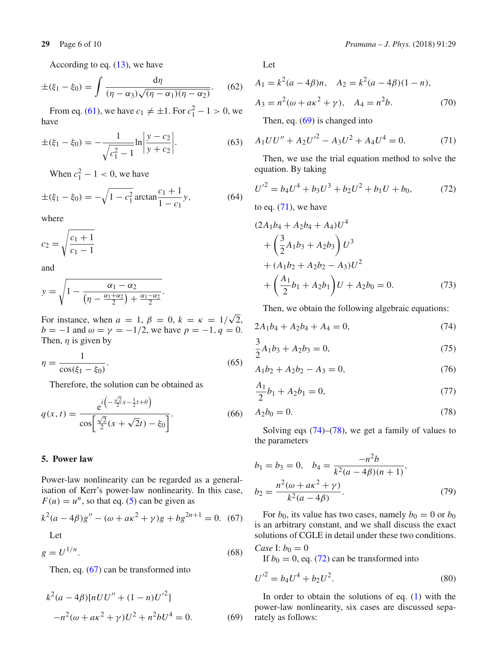According to eq. [\(13\)](#page-2-0), we have

$$
\pm(\xi_1 - \xi_0) = \int \frac{\mathrm{d}\eta}{(\eta - \alpha_3)\sqrt{(\eta - \alpha_1)(\eta - \alpha_2)}}.\tag{62}
$$

From eq. [\(61\)](#page-4-3), we have  $c_1 \neq \pm 1$ . For  $c_1^2 - 1 > 0$ , we have

$$
\pm(\xi_1 - \xi_0) = -\frac{1}{\sqrt{c_1^2 - 1}} \ln \left| \frac{y - c_2}{y + c_2} \right|.
$$
 (63)

When  $c_1^2 - 1 < 0$ , we have

$$
\pm(\xi_1 - \xi_0) = -\sqrt{1 - c_1^2} \arctan \frac{c_1 + 1}{1 - c_1} y,\tag{64}
$$

where

$$
c_2 = \sqrt{\frac{c_1 + 1}{c_1 - 1}}
$$

and

$$
y = \sqrt{1 - \frac{\alpha_1 - \alpha_2}{\left(\eta - \frac{\alpha_1 + \alpha_2}{2}\right) + \frac{\alpha_1 - \alpha_2}{2}}}.
$$

For instance, when  $a = 1$ ,  $\beta = 0$ ,  $k = \kappa = 1/\sqrt{2}$ , *b* = −1 and  $\omega = \gamma = -1/2$ , we have  $p = -1, q = 0$ . Then,  $\eta$  is given by

$$
\eta = \frac{1}{\cos(\xi_1 - \xi_0)}.\tag{65}
$$

Therefore, the solution can be obtained as

$$
q(x,t) = \frac{e^{i\left(-\frac{\sqrt{2}}{2}x - \frac{1}{2}t + \theta\right)}}{\cos\left[\frac{\sqrt{2}}{2}(x + \sqrt{2}t) - \xi_0\right]}.
$$
(66)

# <span id="page-5-0"></span>**5. Power law**

Power-law nonlinearity can be regarded as a generalisation of Kerr's power-law nonlinearity. In this case,  $F(u) = u^n$ , so that eq. [\(5\)](#page-1-2) can be given as

$$
k^{2}(a - 4\beta)g'' - (\omega + a\kappa^{2} + \gamma)g + bg^{2n+1} = 0.
$$
 (67) Let

 $g = U^{1/n}$ . (68)

Then, eq. [\(67\)](#page-5-1) can be transformed into

<span id="page-5-2"></span>
$$
k2(a - 4\beta)[nUU'' + (1 - n)U'2]-n2(\omega + a\kappa2 + \gamma)U2 + n2bU4 = 0.
$$
 (69)

Let

$$
A_1 = k^2(a - 4\beta)n, \quad A_2 = k^2(a - 4\beta)(1 - n),
$$
  

$$
A_3 = n^2(\omega + a\kappa^2 + \gamma), \quad A_4 = n^2b.
$$
 (70)

<span id="page-5-3"></span>Then, eq. [\(69\)](#page-5-2) is changed into

$$
A_1UU'' + A_2U'^2 - A_3U^2 + A_4U^4 = 0.
$$
 (71)

<span id="page-5-5"></span>Then, we use the trial equation method to solve the equation. By taking

$$
U'^{2} = b_{4}U^{4} + b_{3}U^{3} + b_{2}U^{2} + b_{1}U + b_{0},
$$
 (72)

to eq.  $(71)$ , we have

$$
(2A1b4 + A2b4 + A4)U4+ \left(\frac{3}{2}A1b3 + A2b3\right)U3+ (A1b2 + A2b2 - A3)U2+ \left(\frac{A1}{2}b1 + A2b1\right)U + A2b0 = 0.
$$
 (73)

Then, we obtain the following algebraic equations:

<span id="page-5-4"></span>
$$
2A_1b_4 + A_2b_4 + A_4 = 0,\t(74)
$$

$$
\frac{3}{2}A_1b_3 + A_2b_3 = 0,\t(75)
$$

$$
A_1b_2 + A_2b_2 - A_3 = 0,\t(76)
$$

$$
\frac{A_1}{2}b_1 + A_2b_1 = 0,\t\t(77)
$$

$$
A_2 b_0 = 0.\t\t(78)
$$

Solving eqs  $(74)$ – $(78)$ , we get a family of values to the parameters

$$
b_1 = b_3 = 0, \quad b_4 = \frac{-n^2 b}{k^2 (a - 4\beta)(n + 1)},
$$
  

$$
b_2 = \frac{n^2 (\omega + a\kappa^2 + \gamma)}{k^2 (a - 4\beta)}.
$$
 (79)

<span id="page-5-1"></span>For  $b_0$ , its value has two cases, namely  $b_0 = 0$  or  $b_0$ is an arbitrary constant, and we shall discuss the exact solutions of CGLE in detail under these two conditions.

Case I: 
$$
b_0 = 0
$$

<span id="page-5-6"></span>If  $b_0 = 0$ , eq. [\(72\)](#page-5-5) can be transformed into

$$
{U'}^2 = b_4 U^4 + b_2 U^2. \tag{80}
$$

In order to obtain the solutions of eq.  $(1)$  with the power-law nonlinearity, six cases are discussed separately as follows: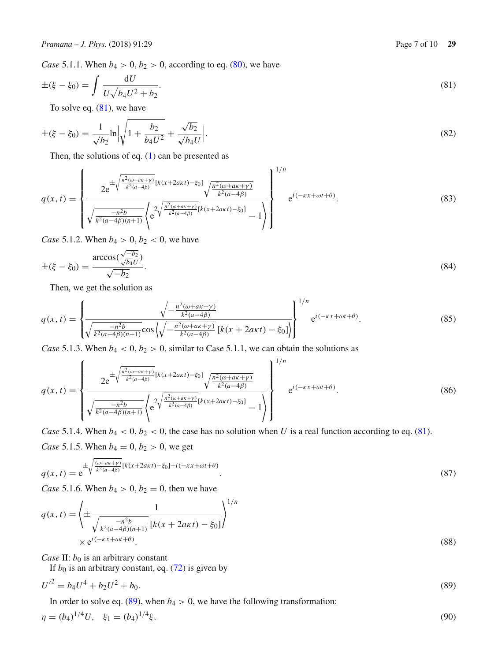*Case* 5.1.1. When  $b_4 > 0$ ,  $b_2 > 0$ , according to eq. [\(80\)](#page-5-6), we have

$$
\pm(\xi - \xi_0) = \int \frac{\mathrm{d}U}{U\sqrt{b_4 U^2 + b_2}}.\tag{81}
$$

<span id="page-6-0"></span>To solve eq.  $(81)$ , we have

$$
\pm(\xi - \xi_0) = \frac{1}{\sqrt{b_2}} \ln \left| \sqrt{1 + \frac{b_2}{b_4 U^2}} + \frac{\sqrt{b_2}}{\sqrt{b_4} U} \right|.
$$
\n(82)

Then, the solutions of eq.  $(1)$  can be presented as

$$
q(x,t) = \begin{cases} \frac{2e^{\pm\sqrt{\frac{n^2(\omega+ax+y)}{k^2(a-4\beta)}}[k(x+2axt)-\xi_0]}\sqrt{\frac{n^2(\omega+ax+y)}{k^2(a-4\beta)}}}{\sqrt{\frac{-n^2b}{k^2(a-4\beta)(n+1)}}\left(e^{2\sqrt{\frac{n^2(\omega+ax+y)}{k^2(a-4\beta)}}[k(x+2axt)-\xi_0]}-1\right)}\end{cases} e^{i(-\kappa x+\omega t+\theta)}. \tag{83}
$$

*Case* 5.1.2. When  $b_4 > 0$ ,  $b_2 < 0$ , we have

$$
\pm(\xi - \xi_0) = \frac{\arccos(\frac{\sqrt{-b_2}}{\sqrt{b_4 U}})}{\sqrt{-b_2}}.\tag{84}
$$

Then, we get the solution as

$$
q(x,t) = \left\{ \frac{\sqrt{-\frac{n^2(\omega + a\kappa + \gamma)}{k^2(a - 4\beta)}}}{\sqrt{\frac{-n^2b}{k^2(a - 4\beta)(n+1)}}\cos\left(\sqrt{-\frac{n^2(\omega + a\kappa + \gamma)}{k^2(a - 4\beta)}}\left[k(x + 2a\kappa t) - \xi_0\right]\right)}\right\}^{1/n} e^{i(-\kappa x + \omega t + \theta)}.
$$
(85)

*Case* 5.1.3. When  $b_4 < 0$ ,  $b_2 > 0$ , similar to Case 5.1.1, we can obtain the solutions as

$$
q(x,t) = \left\{\frac{2e^{\pm\sqrt{\frac{n^2(\omega+ax+y)}{k^2(a-4\beta)}}[k(x+2axt)-\xi_0]} \sqrt{\frac{n^2(\omega+ax+y)}{k^2(a-4\beta)}}}{\sqrt{\frac{-n^2b}{k^2(a-4\beta)(n+1)}} \left\{e^{2\sqrt{\frac{n^2(\omega+ax+y)}{k^2(a-4\beta)}}[k(x+2axt)-\xi_0]}-1\right\}}\right\}^{1/n} e^{i(-\kappa x + \omega t + \theta)}.
$$
(86)

*Case* 5.1.4. When  $b_4 < 0$ ,  $b_2 < 0$ , the case has no solution when *U* is a real function according to eq. [\(81\)](#page-6-0).

*Case* 5.1.5. When  $b_4 = 0, b_2 > 0$ , we get

$$
q(x,t) = e^{\pm \sqrt{\frac{(\omega + a\kappa + \gamma)}{k^2(a - 4\beta)}} [k(x + 2a\kappa t) - \xi_0] + i(-\kappa x + \omega t + \theta)}.
$$
\n(87)

*Case* 5.1.6. When  $b_4 > 0$ ,  $b_2 = 0$ , then we have

$$
q(x,t) = \left\{ \pm \frac{1}{\sqrt{\frac{-n^2b}{k^2(a-4\beta)(n+1)}} \left[k(x+2a\kappa t) - \xi_0\right]} \right\}^{1/n}
$$
  
 
$$
\times e^{i(-\kappa x + \omega t + \theta)}.
$$
 (88)

*Case II:*  $b_0$  is an arbitrary constant

<span id="page-6-1"></span>If  $b_0$  is an arbitrary constant, eq. [\(72\)](#page-5-5) is given by

$$
{U'}^2 = b_4 U^4 + b_2 U^2 + b_0. \tag{89}
$$

In order to solve eq. [\(89\)](#page-6-1), when  $b_4 > 0$ , we have the following transformation:

$$
\eta = (b_4)^{1/4} U, \quad \xi_1 = (b_4)^{1/4} \xi. \tag{90}
$$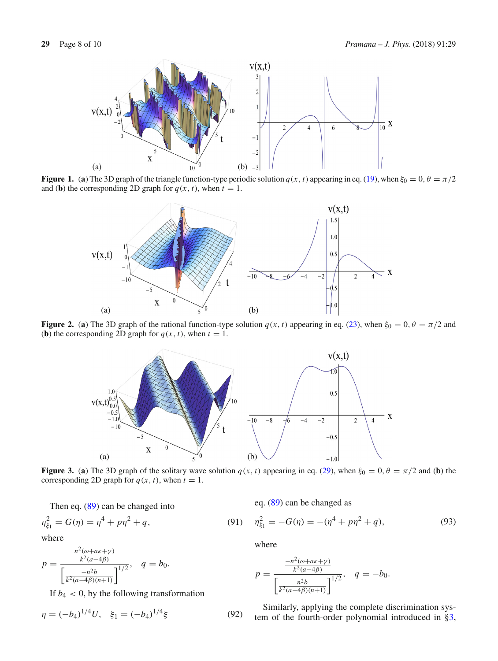

**Figure 1.** (a) The 3D graph of the triangle function-type periodic solution  $q(x, t)$  appearing in eq. [\(19\)](#page-2-5), when  $\xi_0 = 0$ ,  $\theta = \pi/2$ and **(b)** the corresponding 2D graph for  $q(x, t)$ , when  $t = 1$ .

<span id="page-7-0"></span>

**Figure 2.** (a) The 3D graph of the rational function-type solution  $q(x, t)$  appearing in eq. [\(23\)](#page-2-6), when  $\xi_0 = 0, \theta = \pi/2$  and (**b**) the corresponding 2D graph for  $q(x, t)$ , when  $t = 1$ .

<span id="page-7-1"></span>

<span id="page-7-2"></span>**Figure 3.** (a) The 3D graph of the solitary wave solution  $q(x, t)$  appearing in eq. [\(29\)](#page-2-7), when  $\xi_0 = 0$ ,  $\theta = \pi/2$  and (b) the corresponding 2D graph for  $q(x, t)$ , when  $t = 1$ .

Then eq. [\(89\)](#page-6-1) can be changed into

$$
\eta_{\xi_1}^2 = G(\eta) = \eta^4 + p\eta^2 + q,\tag{91}
$$

where

$$
p = \frac{\frac{n^2(\omega + a\kappa + \gamma)}{k^2(a - 4\beta)}}{\left[\frac{-n^2b}{k^2(a - 4\beta)(n+1)}\right]^{1/2}}, \quad q = b_0.
$$

If  $b_4 < 0$ , by the following transformation

$$
\eta = (-b_4)^{1/4} U, \quad \xi_1 = (-b_4)^{1/4} \xi \tag{92}
$$

eq. [\(89\)](#page-6-1) can be changed as

$$
\eta_{\xi_1}^2 = -G(\eta) = -(\eta^4 + p\eta^2 + q),\tag{93}
$$

where

$$
p = \frac{\frac{-n^2(\omega + a\kappa + \gamma)}{k^2(a - 4\beta)}}{\left[\frac{n^2b}{k^2(a - 4\beta)(n+1)}\right]^{1/2}}, \quad q = -b_0.
$$

Similarly, applying the complete discrimination system of the fourth-order polynomial introduced in [§3,](#page-1-7)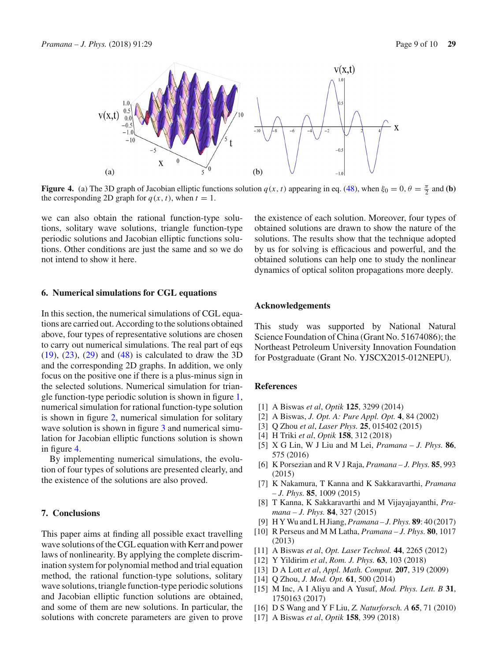

<span id="page-8-5"></span>**Figure 4.** (a) The 3D graph of Jacobian elliptic functions solution  $q(x, t)$  appearing in eq. [\(48\)](#page-4-4), when  $\xi_0 = 0$ ,  $\theta = \frac{\pi}{2}$  and (b) the corresponding 2D graph for  $q(x, t)$ , when  $t = 1$ .

we can also obtain the rational function-type solutions, solitary wave solutions, triangle function-type periodic solutions and Jacobian elliptic functions solutions. Other conditions are just the same and so we do not intend to show it here.

## **6. Numerical simulations for CGL equations**

In this section, the numerical simulations of CGL equations are carried out. According to the solutions obtained above, four types of representative solutions are chosen to carry out numerical simulations. The real part of eqs [\(19\)](#page-2-5), [\(23\)](#page-2-6), [\(29\)](#page-2-7) and [\(48\)](#page-4-4) is calculated to draw the 3D and the corresponding 2D graphs. In addition, we only focus on the positive one if there is a plus-minus sign in the selected solutions. Numerical simulation for triangle function-type periodic solution is shown in figure [1,](#page-7-0) numerical simulation for rational function-type solution is shown in figure [2,](#page-7-1) numerical simulation for solitary wave solution is shown in figure [3](#page-7-2) and numerical simulation for Jacobian elliptic functions solution is shown in figure [4.](#page-8-5)

By implementing numerical simulations, the evolution of four types of solutions are presented clearly, and the existence of the solutions are also proved.

#### **7. Conclusions**

This paper aims at finding all possible exact travelling wave solutions of the CGL equation with Kerr and power laws of nonlinearity. By applying the complete discrimination system for polynomial method and trial equation method, the rational function-type solutions, solitary wave solutions, triangle function-type periodic solutions and Jacobian elliptic function solutions are obtained, and some of them are new solutions. In particular, the solutions with concrete parameters are given to prove the existence of each solution. Moreover, four types of obtained solutions are drawn to show the nature of the solutions. The results show that the technique adopted by us for solving is efficacious and powerful, and the obtained solutions can help one to study the nonlinear dynamics of optical soliton propagations more deeply.

## **Acknowledgements**

This study was supported by National Natural Science Foundation of China (Grant No. 51674086); the Northeast Petroleum University Innovation Foundation for Postgraduate (Grant No. YJSCX2015-012NEPU).

#### **References**

- <span id="page-8-0"></span>[1] A Biswas *et al*, *Optik* **125**, 3299 (2014)
- [2] A Biswas, *J. Opt. A: Pure Appl. Opt.* **4**, 84 (2002)
- [3] Q Zhou *et al*, *Laser Phys.* **25**, 015402 (2015)
- [4] H Triki *et al*, *Optik* **158**, 312 (2018)
- [5] X G Lin, W J Liu and M Lei, *Pramana J. Phys.* **86**, 575 (2016)
- [6] K Porsezian and R V J Raja, *Pramana J. Phys.* **85**, 993 (2015)
- [7] K Nakamura, T Kanna and K Sakkaravarthi, *Pramana – J. Phys.* **85**, 1009 (2015)
- <span id="page-8-1"></span>[8] T Kanna, K Sakkaravarthi and M Vijayajayanthi, *Pramana – J. Phys.* **84**, 327 (2015)
- <span id="page-8-2"></span>[9] H Y Wu and L H Jiang, *Pramana – J. Phys.* **89**: 40 (2017)
- [10] R Perseus and M M Latha, *Pramana J. Phys.* **80**, 1017 (2013)
- [11] A Biswas *et al*, *Opt. Laser Technol.* **44**, 2265 (2012)
- [12] Y Yildirim *et al*, *Rom. J. Phys.* **63**, 103 (2018)
- [13] D A Lott *et al*, *Appl. Math. Comput.* **207**, 319 (2009)
- [14] Q Zhou, *J. Mod. Opt.* **61**, 500 (2014)
- [15] M Inc, A I Aliyu and A Yusuf, *Mod. Phys. Lett. B* **31**, 1750163 (2017)
- <span id="page-8-3"></span>[16] D S Wang and Y F Liu, *Z. Naturforsch. A* **65**, 71 (2010)
- <span id="page-8-4"></span>[17] A Biswas *et al*, *Optik* **158**, 399 (2018)